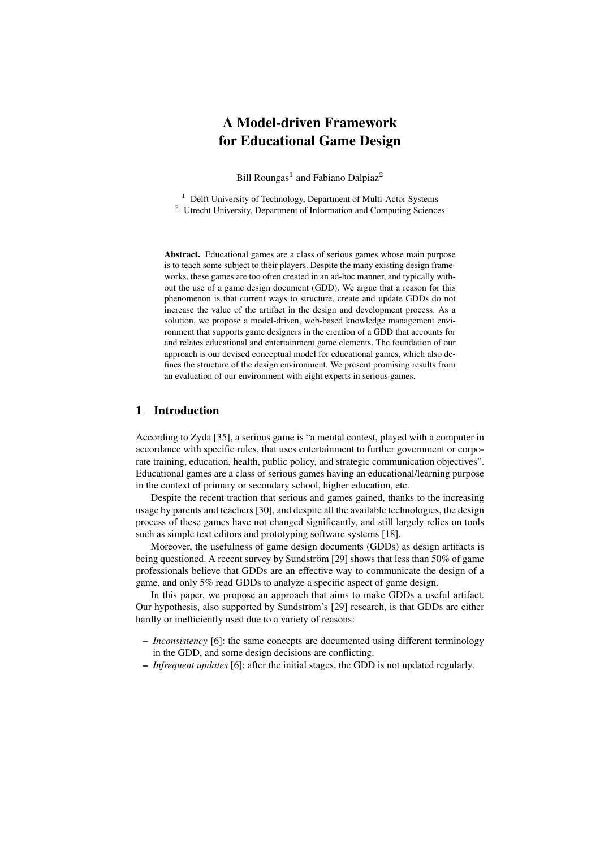# A Model-driven Framework for Educational Game Design

Bill Roungas<sup>1</sup> and Fabiano Dalpiaz<sup>2</sup>

<sup>1</sup> Delft University of Technology, Department of Multi-Actor Systems <sup>2</sup> Utrecht University, Department of Information and Computing Sciences

Abstract. Educational games are a class of serious games whose main purpose is to teach some subject to their players. Despite the many existing design frameworks, these games are too often created in an ad-hoc manner, and typically without the use of a game design document (GDD). We argue that a reason for this phenomenon is that current ways to structure, create and update GDDs do not increase the value of the artifact in the design and development process. As a solution, we propose a model-driven, web-based knowledge management environment that supports game designers in the creation of a GDD that accounts for and relates educational and entertainment game elements. The foundation of our approach is our devised conceptual model for educational games, which also defines the structure of the design environment. We present promising results from an evaluation of our environment with eight experts in serious games.

# 1 Introduction

According to Zyda [35], a serious game is "a mental contest, played with a computer in accordance with specific rules, that uses entertainment to further government or corporate training, education, health, public policy, and strategic communication objectives". Educational games are a class of serious games having an educational/learning purpose in the context of primary or secondary school, higher education, etc.

Despite the recent traction that serious and games gained, thanks to the increasing usage by parents and teachers [30], and despite all the available technologies, the design process of these games have not changed significantly, and still largely relies on tools such as simple text editors and prototyping software systems [18].

Moreover, the usefulness of game design documents (GDDs) as design artifacts is being questioned. A recent survey by Sundström  $[29]$  shows that less than 50% of game professionals believe that GDDs are an effective way to communicate the design of a game, and only 5% read GDDs to analyze a specific aspect of game design.

In this paper, we propose an approach that aims to make GDDs a useful artifact. Our hypothesis, also supported by Sundström's [29] research, is that GDDs are either hardly or inefficiently used due to a variety of reasons:

- *Inconsistency* [6]: the same concepts are documented using different terminology in the GDD, and some design decisions are conflicting.
- *Infrequent updates* [6]: after the initial stages, the GDD is not updated regularly.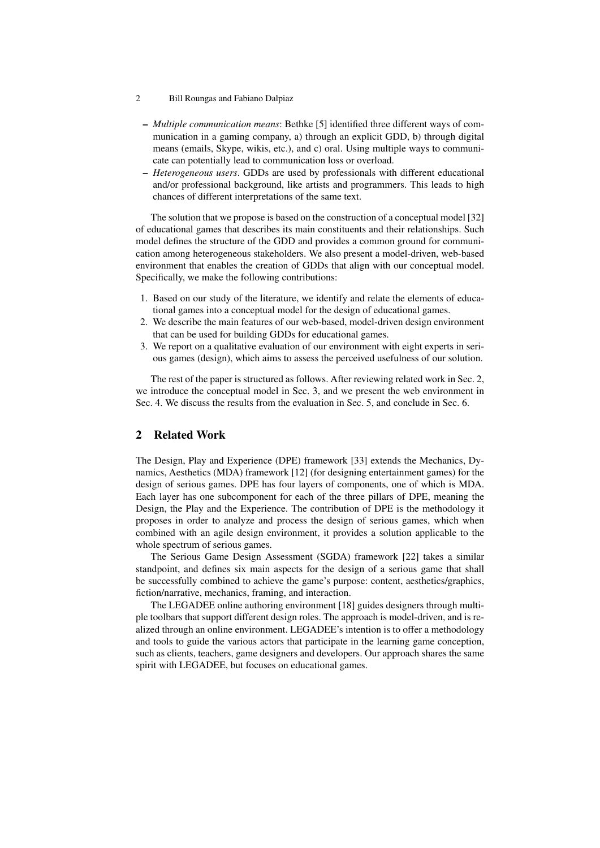- 2 Bill Roungas and Fabiano Dalpiaz
	- *Multiple communication means*: Bethke [5] identified three different ways of communication in a gaming company, a) through an explicit GDD, b) through digital means (emails, Skype, wikis, etc.), and c) oral. Using multiple ways to communicate can potentially lead to communication loss or overload.
	- *Heterogeneous users*. GDDs are used by professionals with different educational and/or professional background, like artists and programmers. This leads to high chances of different interpretations of the same text.

The solution that we propose is based on the construction of a conceptual model [32] of educational games that describes its main constituents and their relationships. Such model defines the structure of the GDD and provides a common ground for communication among heterogeneous stakeholders. We also present a model-driven, web-based environment that enables the creation of GDDs that align with our conceptual model. Specifically, we make the following contributions:

- 1. Based on our study of the literature, we identify and relate the elements of educational games into a conceptual model for the design of educational games.
- 2. We describe the main features of our web-based, model-driven design environment that can be used for building GDDs for educational games.
- 3. We report on a qualitative evaluation of our environment with eight experts in serious games (design), which aims to assess the perceived usefulness of our solution.

The rest of the paper is structured as follows. After reviewing related work in Sec. 2, we introduce the conceptual model in Sec. 3, and we present the web environment in Sec. 4. We discuss the results from the evaluation in Sec. 5, and conclude in Sec. 6.

## 2 Related Work

The Design, Play and Experience (DPE) framework [33] extends the Mechanics, Dynamics, Aesthetics (MDA) framework [12] (for designing entertainment games) for the design of serious games. DPE has four layers of components, one of which is MDA. Each layer has one subcomponent for each of the three pillars of DPE, meaning the Design, the Play and the Experience. The contribution of DPE is the methodology it proposes in order to analyze and process the design of serious games, which when combined with an agile design environment, it provides a solution applicable to the whole spectrum of serious games.

The Serious Game Design Assessment (SGDA) framework [22] takes a similar standpoint, and defines six main aspects for the design of a serious game that shall be successfully combined to achieve the game's purpose: content, aesthetics/graphics, fiction/narrative, mechanics, framing, and interaction.

The LEGADEE online authoring environment [18] guides designers through multiple toolbars that support different design roles. The approach is model-driven, and is realized through an online environment. LEGADEE's intention is to offer a methodology and tools to guide the various actors that participate in the learning game conception, such as clients, teachers, game designers and developers. Our approach shares the same spirit with LEGADEE, but focuses on educational games.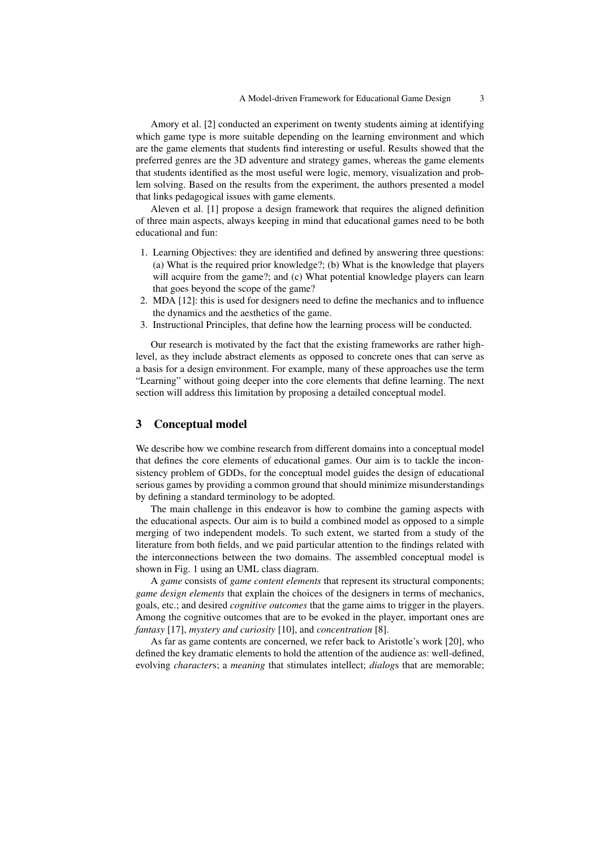Amory et al. [2] conducted an experiment on twenty students aiming at identifying which game type is more suitable depending on the learning environment and which are the game elements that students find interesting or useful. Results showed that the preferred genres are the 3D adventure and strategy games, whereas the game elements that students identified as the most useful were logic, memory, visualization and problem solving. Based on the results from the experiment, the authors presented a model that links pedagogical issues with game elements.

Aleven et al. [1] propose a design framework that requires the aligned definition of three main aspects, always keeping in mind that educational games need to be both educational and fun:

- 1. Learning Objectives: they are identified and defined by answering three questions: (a) What is the required prior knowledge?; (b) What is the knowledge that players will acquire from the game?; and (c) What potential knowledge players can learn that goes beyond the scope of the game?
- 2. MDA [12]: this is used for designers need to define the mechanics and to influence the dynamics and the aesthetics of the game.
- 3. Instructional Principles, that define how the learning process will be conducted.

Our research is motivated by the fact that the existing frameworks are rather highlevel, as they include abstract elements as opposed to concrete ones that can serve as a basis for a design environment. For example, many of these approaches use the term "Learning" without going deeper into the core elements that define learning. The next section will address this limitation by proposing a detailed conceptual model.

# 3 Conceptual model

We describe how we combine research from different domains into a conceptual model that defines the core elements of educational games. Our aim is to tackle the inconsistency problem of GDDs, for the conceptual model guides the design of educational serious games by providing a common ground that should minimize misunderstandings by defining a standard terminology to be adopted.

The main challenge in this endeavor is how to combine the gaming aspects with the educational aspects. Our aim is to build a combined model as opposed to a simple merging of two independent models. To such extent, we started from a study of the literature from both fields, and we paid particular attention to the findings related with the interconnections between the two domains. The assembled conceptual model is shown in Fig. 1 using an UML class diagram.

A *game* consists of *game content elements* that represent its structural components; *game design elements* that explain the choices of the designers in terms of mechanics, goals, etc.; and desired *cognitive outcomes* that the game aims to trigger in the players. Among the cognitive outcomes that are to be evoked in the player, important ones are *fantasy* [17], *mystery and curiosity* [10], and *concentration* [8].

As far as game contents are concerned, we refer back to Aristotle's work [20], who defined the key dramatic elements to hold the attention of the audience as: well-defined, evolving *character*s; a *meaning* that stimulates intellect; *dialog*s that are memorable;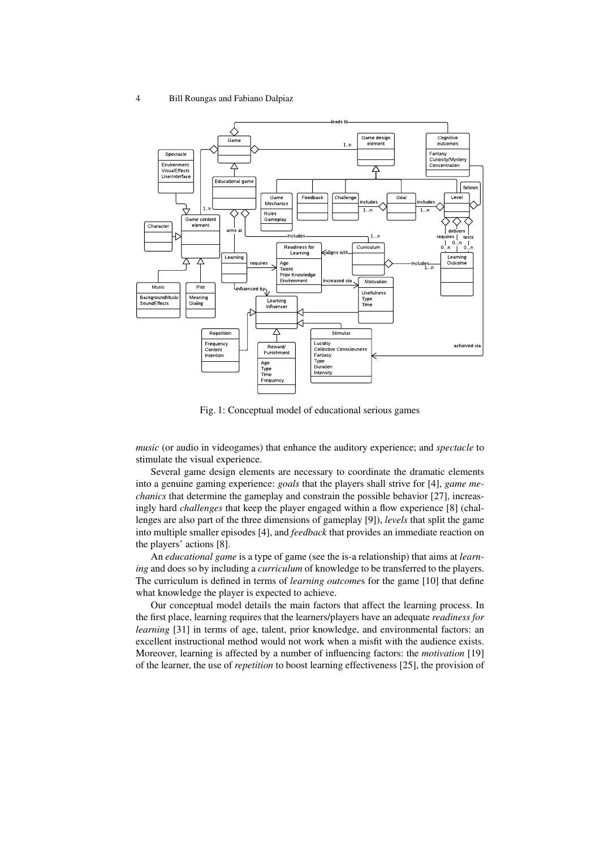#### 4 Bill Roungas and Fabiano Dalpiaz



Fig. 1: Conceptual model of educational serious games

*music* (or audio in videogames) that enhance the auditory experience; and *spectacle* to stimulate the visual experience.

Several game design elements are necessary to coordinate the dramatic elements into a genuine gaming experience: *goals* that the players shall strive for [4], *game mechanics* that determine the gameplay and constrain the possible behavior [27], increasingly hard *challenges* that keep the player engaged within a flow experience [8] (challenges are also part of the three dimensions of gameplay [9]), *levels* that split the game into multiple smaller episodes [4], and *feedback* that provides an immediate reaction on the players' actions [8].

An *educational game* is a type of game (see the is-a relationship) that aims at *learning* and does so by including a *curriculum* of knowledge to be transferred to the players. The curriculum is defined in terms of *learning outcome*s for the game [10] that define what knowledge the player is expected to achieve.

Our conceptual model details the main factors that affect the learning process. In the first place, learning requires that the learners/players have an adequate *readiness for learning* [31] in terms of age, talent, prior knowledge, and environmental factors: an excellent instructional method would not work when a misfit with the audience exists. Moreover, learning is affected by a number of influencing factors: the *motivation* [19] of the learner, the use of *repetition* to boost learning effectiveness [25], the provision of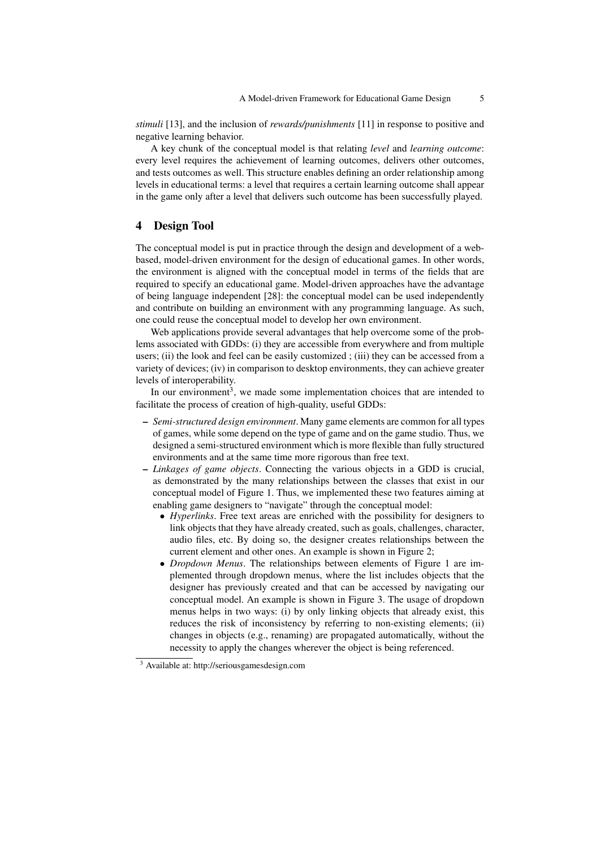*stimuli* [13], and the inclusion of *rewards/punishments* [11] in response to positive and negative learning behavior.

A key chunk of the conceptual model is that relating *level* and *learning outcome*: every level requires the achievement of learning outcomes, delivers other outcomes, and tests outcomes as well. This structure enables defining an order relationship among levels in educational terms: a level that requires a certain learning outcome shall appear in the game only after a level that delivers such outcome has been successfully played.

### 4 Design Tool

The conceptual model is put in practice through the design and development of a webbased, model-driven environment for the design of educational games. In other words, the environment is aligned with the conceptual model in terms of the fields that are required to specify an educational game. Model-driven approaches have the advantage of being language independent [28]: the conceptual model can be used independently and contribute on building an environment with any programming language. As such, one could reuse the conceptual model to develop her own environment.

Web applications provide several advantages that help overcome some of the problems associated with GDDs: (i) they are accessible from everywhere and from multiple users; (ii) the look and feel can be easily customized ; (iii) they can be accessed from a variety of devices; (iv) in comparison to desktop environments, they can achieve greater levels of interoperability.

In our environment<sup>3</sup>, we made some implementation choices that are intended to facilitate the process of creation of high-quality, useful GDDs:

- *Semi-structured design environment*. Many game elements are common for all types of games, while some depend on the type of game and on the game studio. Thus, we designed a semi-structured environment which is more flexible than fully structured environments and at the same time more rigorous than free text.
- *Linkages of game objects*. Connecting the various objects in a GDD is crucial, as demonstrated by the many relationships between the classes that exist in our conceptual model of Figure 1. Thus, we implemented these two features aiming at enabling game designers to "navigate" through the conceptual model:
	- *Hyperlinks*. Free text areas are enriched with the possibility for designers to link objects that they have already created, such as goals, challenges, character, audio files, etc. By doing so, the designer creates relationships between the current element and other ones. An example is shown in Figure 2;
	- *Dropdown Menus*. The relationships between elements of Figure 1 are implemented through dropdown menus, where the list includes objects that the designer has previously created and that can be accessed by navigating our conceptual model. An example is shown in Figure 3. The usage of dropdown menus helps in two ways: (i) by only linking objects that already exist, this reduces the risk of inconsistency by referring to non-existing elements; (ii) changes in objects (e.g., renaming) are propagated automatically, without the necessity to apply the changes wherever the object is being referenced.

<sup>3</sup> Available at: http://seriousgamesdesign.com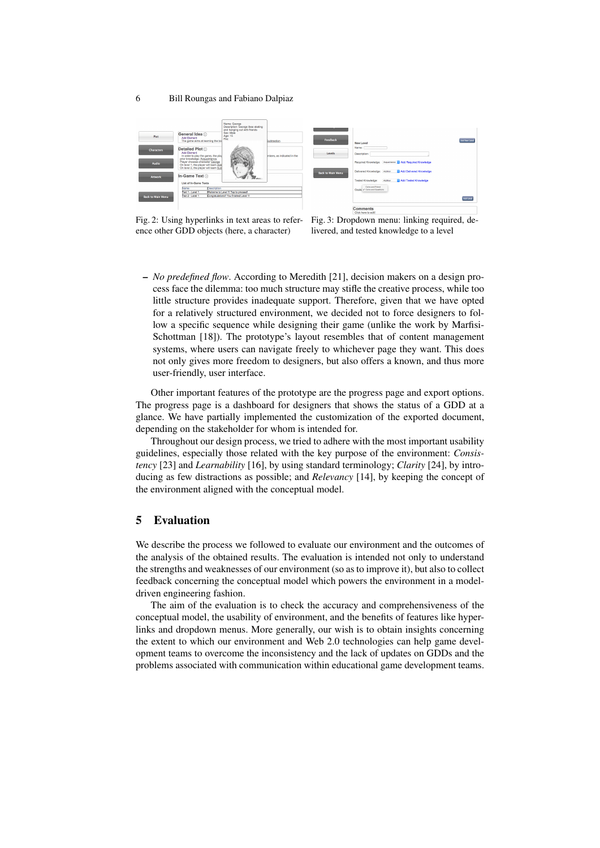#### 6 Bill Roungas and Fabiano Dalpiaz



Fig. 2: Using hyperlinks in text areas to reference other GDD objects (here, a character)

Fig. 3: Dropdown menu: linking required, delivered, and tested knowledge to a level

– *No predefined flow*. According to Meredith [21], decision makers on a design process face the dilemma: too much structure may stifle the creative process, while too little structure provides inadequate support. Therefore, given that we have opted for a relatively structured environment, we decided not to force designers to follow a specific sequence while designing their game (unlike the work by Marfisi-Schottman [18]). The prototype's layout resembles that of content management systems, where users can navigate freely to whichever page they want. This does not only gives more freedom to designers, but also offers a known, and thus more user-friendly, user interface.

Other important features of the prototype are the progress page and export options. The progress page is a dashboard for designers that shows the status of a GDD at a glance. We have partially implemented the customization of the exported document, depending on the stakeholder for whom is intended for.

Throughout our design process, we tried to adhere with the most important usability guidelines, especially those related with the key purpose of the environment: *Consistency* [23] and *Learnability* [16], by using standard terminology; *Clarity* [24], by introducing as few distractions as possible; and *Relevancy* [14], by keeping the concept of the environment aligned with the conceptual model.

### 5 Evaluation

We describe the process we followed to evaluate our environment and the outcomes of the analysis of the obtained results. The evaluation is intended not only to understand the strengths and weaknesses of our environment (so as to improve it), but also to collect feedback concerning the conceptual model which powers the environment in a modeldriven engineering fashion.

The aim of the evaluation is to check the accuracy and comprehensiveness of the conceptual model, the usability of environment, and the benefits of features like hyperlinks and dropdown menus. More generally, our wish is to obtain insights concerning the extent to which our environment and Web 2.0 technologies can help game development teams to overcome the inconsistency and the lack of updates on GDDs and the problems associated with communication within educational game development teams.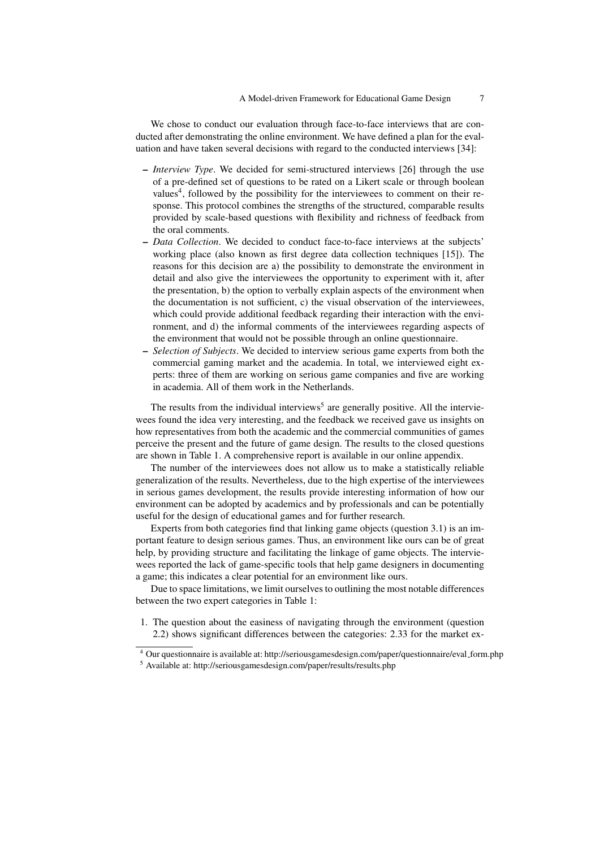We chose to conduct our evaluation through face-to-face interviews that are conducted after demonstrating the online environment. We have defined a plan for the evaluation and have taken several decisions with regard to the conducted interviews [34]:

- *Interview Type*. We decided for semi-structured interviews [26] through the use of a pre-defined set of questions to be rated on a Likert scale or through boolean values<sup>4</sup>, followed by the possibility for the interviewees to comment on their response. This protocol combines the strengths of the structured, comparable results provided by scale-based questions with flexibility and richness of feedback from the oral comments.
- *Data Collection*. We decided to conduct face-to-face interviews at the subjects' working place (also known as first degree data collection techniques [15]). The reasons for this decision are a) the possibility to demonstrate the environment in detail and also give the interviewees the opportunity to experiment with it, after the presentation, b) the option to verbally explain aspects of the environment when the documentation is not sufficient, c) the visual observation of the interviewees, which could provide additional feedback regarding their interaction with the environment, and d) the informal comments of the interviewees regarding aspects of the environment that would not be possible through an online questionnaire.
- *Selection of Subjects*. We decided to interview serious game experts from both the commercial gaming market and the academia. In total, we interviewed eight experts: three of them are working on serious game companies and five are working in academia. All of them work in the Netherlands.

The results from the individual interviews<sup>5</sup> are generally positive. All the interviewees found the idea very interesting, and the feedback we received gave us insights on how representatives from both the academic and the commercial communities of games perceive the present and the future of game design. The results to the closed questions are shown in Table 1. A comprehensive report is available in our online appendix.

The number of the interviewees does not allow us to make a statistically reliable generalization of the results. Nevertheless, due to the high expertise of the interviewees in serious games development, the results provide interesting information of how our environment can be adopted by academics and by professionals and can be potentially useful for the design of educational games and for further research.

Experts from both categories find that linking game objects (question 3.1) is an important feature to design serious games. Thus, an environment like ours can be of great help, by providing structure and facilitating the linkage of game objects. The interviewees reported the lack of game-specific tools that help game designers in documenting a game; this indicates a clear potential for an environment like ours.

Due to space limitations, we limit ourselves to outlining the most notable differences between the two expert categories in Table 1:

1. The question about the easiness of navigating through the environment (question 2.2) shows significant differences between the categories: 2.33 for the market ex-

<sup>&</sup>lt;sup>4</sup> Our questionnaire is available at: http://seriousgamesdesign.com/paper/questionnaire/eval\_form.php

<sup>5</sup> Available at: http://seriousgamesdesign.com/paper/results/results.php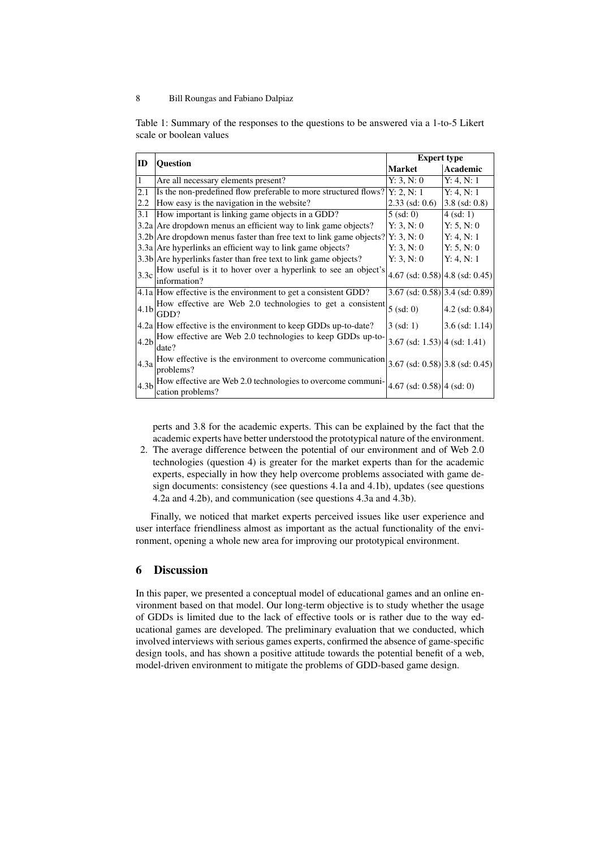#### 8 Bill Roungas and Fabiano Dalpiaz

| ID               | <b>Question</b>                                                                    | <b>Expert type</b>                  |                   |
|------------------|------------------------------------------------------------------------------------|-------------------------------------|-------------------|
|                  |                                                                                    | Market                              | Academic          |
|                  | Are all necessary elements present?                                                | Y: 3, N: 0                          | Y: 4, N: 1        |
| 2.1              | Is the non-predefined flow preferable to more structured flows? $ Y: 2, N: 1 $     |                                     | Y: 4, N: 1        |
| 2.2              | How easy is the navigation in the website?                                         | $2.33$ (sd: 0.6)                    | $3.8$ (sd: 0.8)   |
| 3.1              | How important is linking game objects in a GDD?                                    | 5 (sd: 0)                           | 4 (sd: 1)         |
|                  | 3.2a Are dropdown menus an efficient way to link game objects?                     | Y: 3, N: 0                          | Y: 5, N: 0        |
|                  | 3.2b Are dropdown menus faster than free text to link game objects? $[Y: 3, N: 0]$ |                                     | Y: 4, N: 1        |
|                  | 3.3a Are hyperlinks an efficient way to link game objects?                         | Y: 3, N: 0                          | Y: 5, N: 0        |
|                  | 3.3b Are hyperlinks faster than free text to link game objects?                    | Y: 3, N: 0                          | Y: 4, N: 1        |
| 3.3c             | How useful is it to hover over a hyperlink to see an object's<br>information?      | 4.67 (sd: 0.58) $ 4.8$ (sd: 0.45)   |                   |
|                  | 4.1a How effective is the environment to get a consistent GDD?                     | $3.67$ (sd: 0.58) $ 3.4$ (sd: 0.89) |                   |
| 4.1b             | How effective are Web 2.0 technologies to get a consistent<br>GDD?                 | 5 (sd: 0)                           | $ 4.2$ (sd: 0.84) |
|                  | 4.2a How effective is the environment to keep GDDs up-to-date?                     | $3$ (sd: 1)                         | $3.6$ (sd: 1.14)  |
| 4.2 <sub>b</sub> | How effective are Web 2.0 technologies to keep GDDs up-to-<br>date?                | $3.67$ (sd: 1.53) $ 4$ (sd: 1.41)   |                   |
| 4.3a             | How effective is the environment to overcome communication<br>problems?            | $3.67$ (sd: 0.58) $ 3.8$ (sd: 0.45) |                   |
| 4.3 <sub>b</sub> | How effective are Web 2.0 technologies to overcome communi-<br>cation problems?    | $4.67$ (sd: 0.58)   4 (sd: 0)       |                   |

Table 1: Summary of the responses to the questions to be answered via a 1-to-5 Likert scale or boolean values

perts and 3.8 for the academic experts. This can be explained by the fact that the academic experts have better understood the prototypical nature of the environment.

2. The average difference between the potential of our environment and of Web 2.0 technologies (question 4) is greater for the market experts than for the academic experts, especially in how they help overcome problems associated with game design documents: consistency (see questions 4.1a and 4.1b), updates (see questions 4.2a and 4.2b), and communication (see questions 4.3a and 4.3b).

Finally, we noticed that market experts perceived issues like user experience and user interface friendliness almost as important as the actual functionality of the environment, opening a whole new area for improving our prototypical environment.

# 6 Discussion

In this paper, we presented a conceptual model of educational games and an online environment based on that model. Our long-term objective is to study whether the usage of GDDs is limited due to the lack of effective tools or is rather due to the way educational games are developed. The preliminary evaluation that we conducted, which involved interviews with serious games experts, confirmed the absence of game-specific design tools, and has shown a positive attitude towards the potential benefit of a web, model-driven environment to mitigate the problems of GDD-based game design.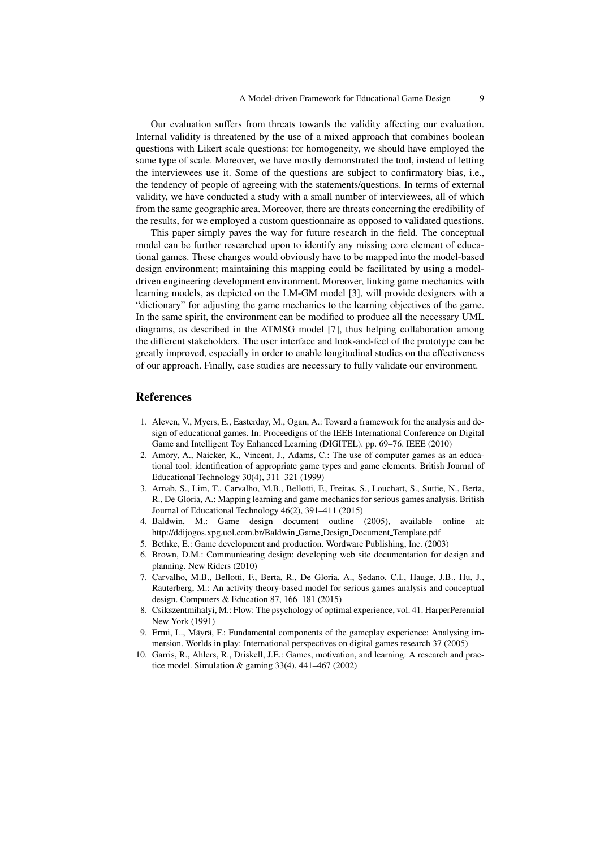Our evaluation suffers from threats towards the validity affecting our evaluation. Internal validity is threatened by the use of a mixed approach that combines boolean questions with Likert scale questions: for homogeneity, we should have employed the same type of scale. Moreover, we have mostly demonstrated the tool, instead of letting the interviewees use it. Some of the questions are subject to confirmatory bias, i.e., the tendency of people of agreeing with the statements/questions. In terms of external validity, we have conducted a study with a small number of interviewees, all of which from the same geographic area. Moreover, there are threats concerning the credibility of the results, for we employed a custom questionnaire as opposed to validated questions.

This paper simply paves the way for future research in the field. The conceptual model can be further researched upon to identify any missing core element of educational games. These changes would obviously have to be mapped into the model-based design environment; maintaining this mapping could be facilitated by using a modeldriven engineering development environment. Moreover, linking game mechanics with learning models, as depicted on the LM-GM model [3], will provide designers with a "dictionary" for adjusting the game mechanics to the learning objectives of the game. In the same spirit, the environment can be modified to produce all the necessary UML diagrams, as described in the ATMSG model [7], thus helping collaboration among the different stakeholders. The user interface and look-and-feel of the prototype can be greatly improved, especially in order to enable longitudinal studies on the effectiveness of our approach. Finally, case studies are necessary to fully validate our environment.

### References

- 1. Aleven, V., Myers, E., Easterday, M., Ogan, A.: Toward a framework for the analysis and design of educational games. In: Proceedigns of the IEEE International Conference on Digital Game and Intelligent Toy Enhanced Learning (DIGITEL). pp. 69–76. IEEE (2010)
- 2. Amory, A., Naicker, K., Vincent, J., Adams, C.: The use of computer games as an educational tool: identification of appropriate game types and game elements. British Journal of Educational Technology 30(4), 311–321 (1999)
- 3. Arnab, S., Lim, T., Carvalho, M.B., Bellotti, F., Freitas, S., Louchart, S., Suttie, N., Berta, R., De Gloria, A.: Mapping learning and game mechanics for serious games analysis. British Journal of Educational Technology 46(2), 391–411 (2015)
- 4. Baldwin, M.: Game design document outline (2005), available online at: http://ddijogos.xpg.uol.com.br/Baldwin Game Design Document Template.pdf
- 5. Bethke, E.: Game development and production. Wordware Publishing, Inc. (2003)
- 6. Brown, D.M.: Communicating design: developing web site documentation for design and planning. New Riders (2010)
- 7. Carvalho, M.B., Bellotti, F., Berta, R., De Gloria, A., Sedano, C.I., Hauge, J.B., Hu, J., Rauterberg, M.: An activity theory-based model for serious games analysis and conceptual design. Computers & Education 87, 166–181 (2015)
- 8. Csikszentmihalyi, M.: Flow: The psychology of optimal experience, vol. 41. HarperPerennial New York (1991)
- 9. Ermi, L., Mäyrä, F.: Fundamental components of the gameplay experience: Analysing immersion. Worlds in play: International perspectives on digital games research 37 (2005)
- 10. Garris, R., Ahlers, R., Driskell, J.E.: Games, motivation, and learning: A research and practice model. Simulation & gaming 33(4), 441–467 (2002)